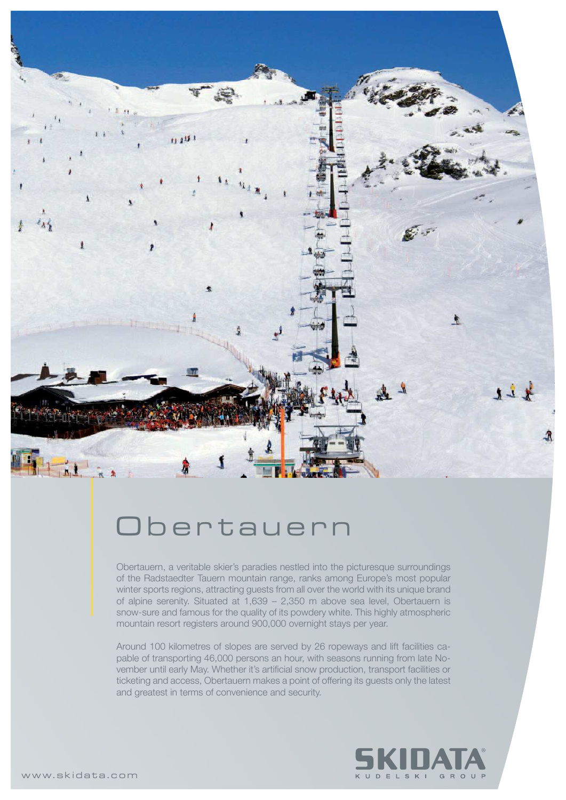

## Obertauern

Obertauern, a veritable skier's paradies nestled into the picturesque surroundings of the Radstaedter Tauern mountain range, ranks among Europe's most popular winter sports regions, attracting guests from all over the world with its unique brand of alpine serenity. Situated at 1,639 – 2,350 m above sea level, Obertauern is snow-sure and famous for the quality of its powdery white. This highly atmospheric mountain resort registers around 900,000 overnight stays per year.

Around 100 kilometres of slopes are served by 26 ropeways and lift facilities capable of transporting 46,000 persons an hour, with seasons running from late November until early May. Whether it's artificial snow production, transport facilities or ticketing and access, Obertauern makes a point of offering its guests only the latest and greatest in terms of convenience and security.